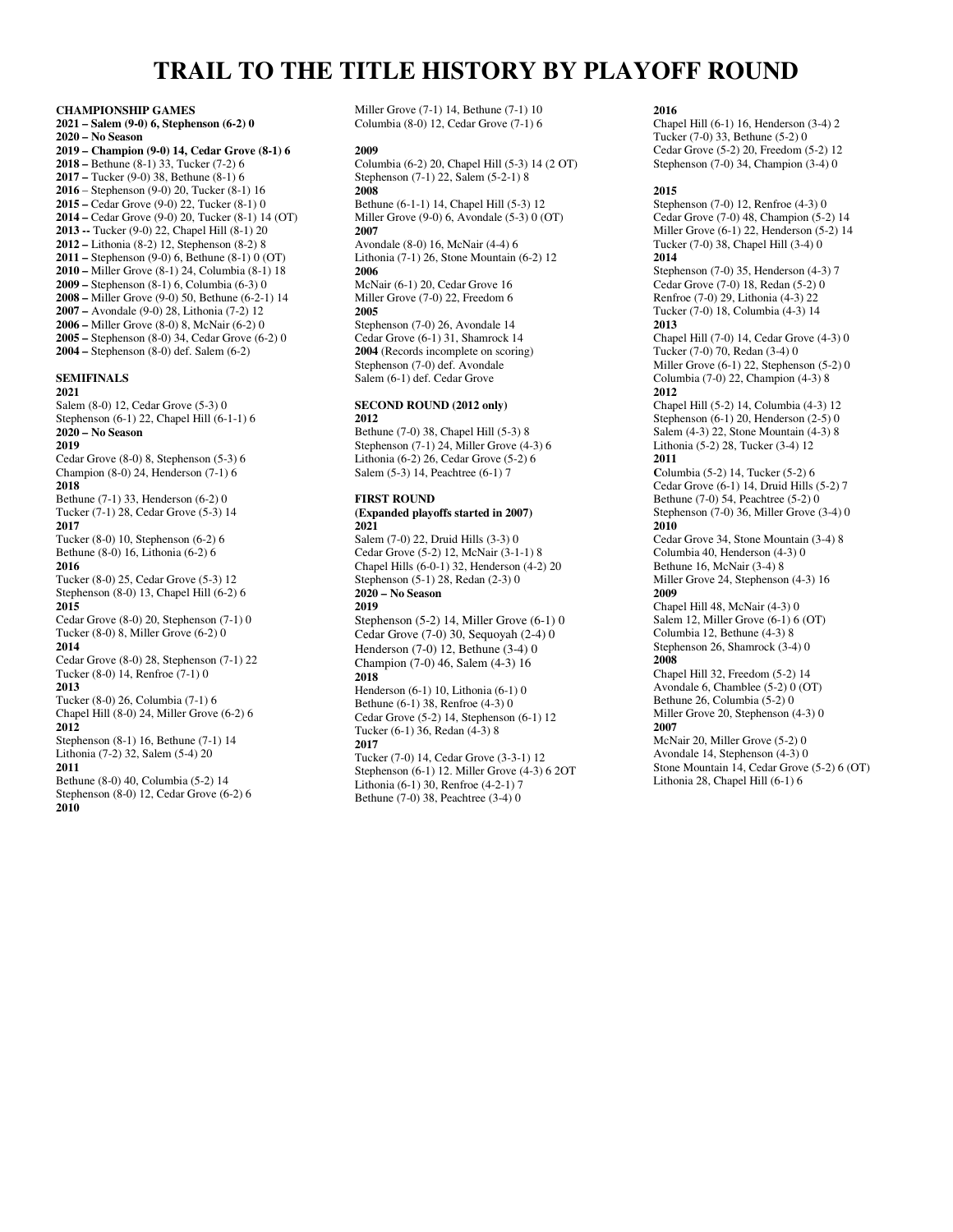# **TRAIL TO THE TITLE HISTORY BY PLAYOFF ROUND**

**CHAMPIONSHIP GAMES 2021 – Salem (9-0) 6, Stephenson (6-2) 0 2020 – No Season 2019 – Champion (9-0) 14, Cedar Grove (8-1) 6 2018 –** Bethune (8-1) 33, Tucker (7-2) 6 **2017 –** Tucker (9-0) 38, Bethune (8-1) 6 **2016** – Stephenson (9-0) 20, Tucker (8-1) 16 **2015 –** Cedar Grove (9-0) 22, Tucker (8-1) 0 **2014 –** Cedar Grove (9-0) 20, Tucker (8-1) 14 (OT) **2013 --** Tucker (9-0) 22, Chapel Hill (8-1) 20 **2012 –** Lithonia (8-2) 12, Stephenson (8-2) 8 **2011 –** Stephenson (9-0) 6, Bethune (8-1) 0 (OT) **2010 –** Miller Grove (8-1) 24, Columbia (8-1) 18 **2009 –** Stephenson (8-1) 6, Columbia (6-3) 0 **2008 –** Miller Grove (9-0) 50, Bethune (6-2-1) 14 **2007 –** Avondale (9-0) 28, Lithonia (7-2) 12 **2006 –** Miller Grove (8-0) 8, McNair (6-2) 0 **2005 –** Stephenson (8-0) 34, Cedar Grove (6-2) 0 **2004 –** Stephenson (8-0) def. Salem (6-2)

# **SEMIFINALS**

**2021**  Salem (8-0) 12, Cedar Grove (5-3) 0 Stephenson (6-1) 22, Chapel Hill (6-1-1) 6

#### **2020 – No Season**

**2019** 

Cedar Grove (8-0) 8, Stephenson (5-3) 6 Champion (8-0) 24, Henderson (7-1) 6 **2018**  Bethune (7-1) 33, Henderson (6-2) 0 Tucker (7-1) 28, Cedar Grove (5-3) 14 **2017**  Tucker (8-0) 10, Stephenson (6-2) 6 Bethune (8-0) 16, Lithonia (6-2) 6 **2016**  Tucker (8-0) 25, Cedar Grove (5-3) 12 Stephenson (8-0) 13, Chapel Hill (6-2) 6 **2015**  Cedar Grove (8-0) 20, Stephenson (7-1) 0 Tucker (8-0) 8, Miller Grove (6-2) 0 **2014**  Cedar Grove (8-0) 28, Stephenson (7-1) 22 Tucker (8-0) 14, Renfroe (7-1) 0 **2013**  Tucker (8-0) 26, Columbia (7-1) 6 Chapel Hill (8-0) 24, Miller Grove (6-2) 6 **2012**  Stephenson (8-1) 16, Bethune (7-1) 14

Lithonia (7-2) 32, Salem (5-4) 20 **2011**  Bethune (8-0) 40, Columbia (5-2) 14

Stephenson (8-0) 12, Cedar Grove (6-2) 6 **2010** 

Miller Grove (7-1) 14, Bethune (7-1) 10 Columbia (8-0) 12, Cedar Grove (7-1) 6

#### **2009**

Columbia (6-2) 20, Chapel Hill (5-3) 14 (2 OT) Stephenson (7-1) 22, Salem (5-2-1) 8 **2008** 

Bethune (6-1-1) 14, Chapel Hill (5-3) 12 Miller Grove (9-0) 6, Avondale (5-3) 0 (OT) **2007** 

Avondale (8-0) 16, McNair (4-4) 6 Lithonia (7-1) 26, Stone Mountain (6-2) 12 **2006**  McNair (6-1) 20, Cedar Grove 16

Miller Grove (7-0) 22, Freedom 6 **2005**  Stephenson (7-0) 26, Avondale 14 Cedar Grove (6-1) 31, Shamrock 14 **2004** (Records incomplete on scoring) Stephenson (7-0) def. Avondale Salem (6-1) def. Cedar Grove

#### **SECOND ROUND (2012 only) 2012**

Bethune (7-0) 38, Chapel Hill (5-3) 8 Stephenson (7-1) 24, Miller Grove (4-3) 6 Lithonia (6-2) 26, Cedar Grove (5-2) 6 Salem (5-3) 14, Peachtree (6-1) 7

#### **FIRST ROUND**

**(Expanded playoffs started in 2007) 2021** 

Salem (7-0) 22, Druid Hills (3-3) 0 Cedar Grove (5-2) 12, McNair (3-1-1) 8 Chapel Hills (6-0-1) 32, Henderson (4-2) 20 Stephenson (5-1) 28, Redan (2-3) 0 **2020 – No Season 2019** 

Stephenson (5-2) 14, Miller Grove (6-1) 0 Cedar Grove (7-0) 30, Sequoyah (2-4) 0 Henderson (7-0) 12, Bethune (3-4) 0 Champion (7-0) 46, Salem (4-3) 16 **2018**  Henderson (6-1) 10, Lithonia (6-1) 0 Bethune (6-1) 38, Renfroe (4-3) 0

Cedar Grove (5-2) 14, Stephenson (6-1) 12 Tucker (6-1) 36, Redan (4-3) 8 **2017** 

Tucker (7-0) 14, Cedar Grove (3-3-1) 12 Stephenson (6-1) 12. Miller Grove (4-3) 6 2OT Lithonia (6-1) 30, Renfroe (4-2-1) 7 Bethune (7-0) 38, Peachtree (3-4) 0

#### **2016**

Chapel Hill (6-1) 16, Henderson (3-4) 2 Tucker (7-0) 33, Bethune (5-2) 0 Cedar Grove (5-2) 20, Freedom (5-2) 12 Stephenson (7-0) 34, Champion (3-4) 0

#### **2015**

Stephenson (7-0) 12, Renfroe (4-3) 0 Cedar Grove (7-0) 48, Champion (5-2) 14 Miller Grove  $(6-1)$  22, Henderson  $(5-2)$  14 Tucker (7-0) 38, Chapel Hill (3-4) 0 **2014** 

Stephenson (7-0) 35, Henderson (4-3) 7 Cedar Grove (7-0) 18, Redan (5-2) 0 Renfroe (7-0) 29, Lithonia (4-3) 22 Tucker (7-0) 18, Columbia (4-3) 14 **2013** 

Chapel Hill (7-0) 14, Cedar Grove (4-3) 0 Tucker (7-0) 70, Redan (3-4) 0 Miller Grove (6-1) 22, Stephenson (5-2) 0 Columbia (7-0) 22, Champion (4-3) 8 **2012** 

Chapel Hill (5-2) 14, Columbia (4-3) 12 Stephenson (6-1) 20, Henderson (2-5) 0 Salem (4-3) 22, Stone Mountain (4-3) 8 Lithonia (5-2) 28, Tucker (3-4) 12 **2011** 

**C**olumbia (5-2) 14, Tucker (5-2) 6 Cedar Grove (6-1) 14, Druid Hills (5-2) 7 Bethune (7-0) 54, Peachtree (5-2) 0 Stephenson (7-0) 36, Miller Grove (3-4) 0 **2010** 

Cedar Grove 34, Stone Mountain (3-4) 8 Columbia 40, Henderson (4-3) 0 Bethune 16, McNair (3-4) 8 Miller Grove 24, Stephenson (4-3) 16 **2009** 

Chapel Hill 48, McNair (4-3) 0 Salem 12, Miller Grove (6-1) 6 (OT) Columbia 12, Bethune (4-3) 8 Stephenson 26, Shamrock (3-4) 0 **2008** 

Chapel Hill 32, Freedom (5-2) 14 Avondale 6, Chamblee (5-2) 0 (OT) Bethune 26, Columbia (5-2) 0 Miller Grove 20, Stephenson (4-3) 0 **2007** 

McNair 20, Miller Grove (5-2) 0 Avondale 14, Stephenson (4-3) 0 Stone Mountain 14, Cedar Grove (5-2) 6 (OT) Lithonia 28, Chapel Hill (6-1) 6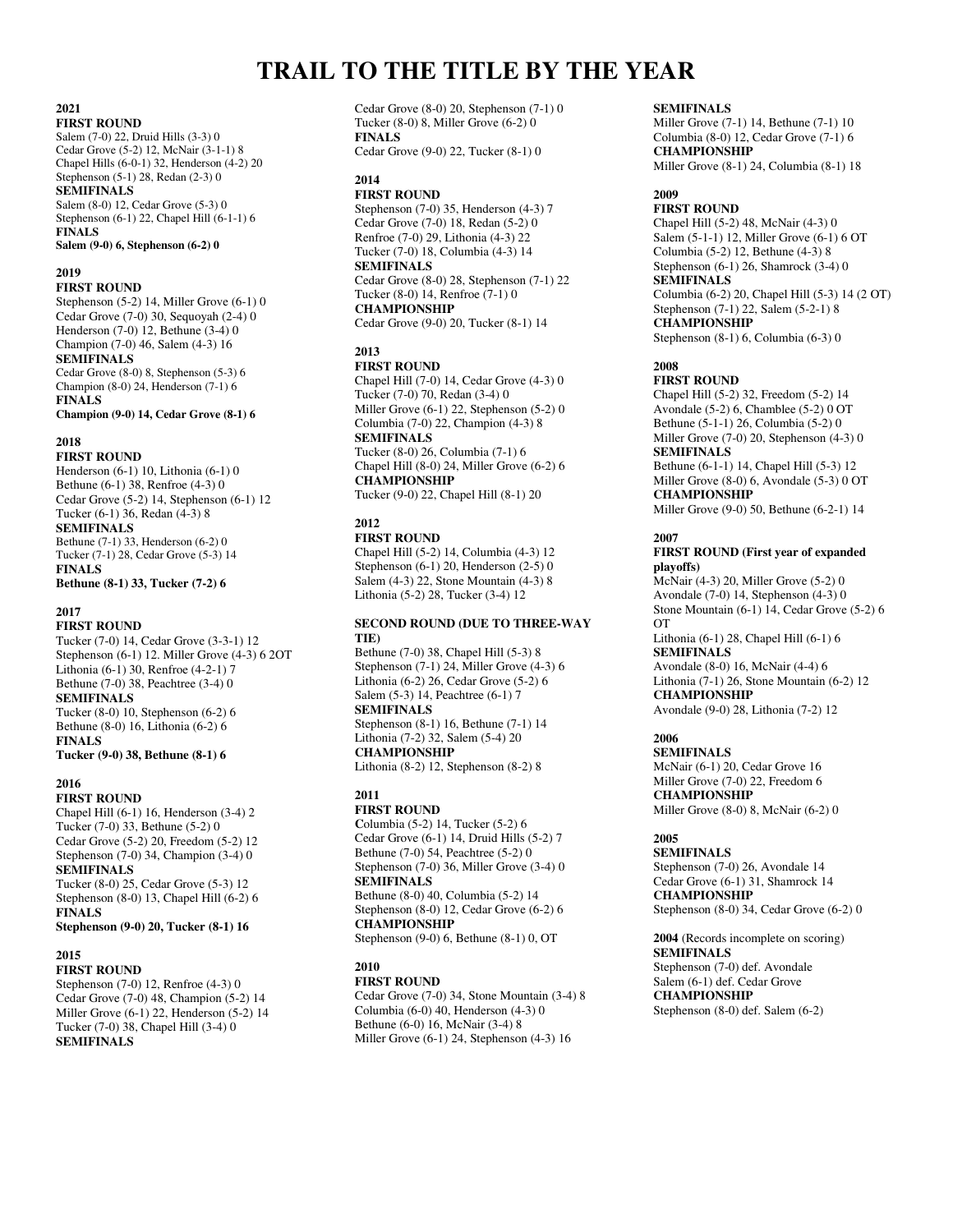# **TRAIL TO THE TITLE BY THE YEAR**

#### **2021 FIRST ROUND**

Salem (7-0) 22, Druid Hills (3-3) 0 Cedar Grove (5-2) 12, McNair (3-1-1) 8 Chapel Hills (6-0-1) 32, Henderson (4-2) 20 Stephenson (5-1) 28, Redan (2-3) 0 **SEMIFINALS**  Salem (8-0) 12, Cedar Grove (5-3) 0 Stephenson (6-1) 22, Chapel Hill (6-1-1) 6

**FINALS Salem (9-0) 6, Stephenson (6-2) 0** 

# **2019**

**FIRST ROUND** 

Stephenson (5-2) 14, Miller Grove (6-1) 0 Cedar Grove (7-0) 30, Sequoyah (2-4) 0 Henderson (7-0) 12, Bethune (3-4) 0 Champion (7-0) 46, Salem (4-3) 16 **SEMIFINALS**  Cedar Grove (8-0) 8, Stephenson (5-3) 6 Champion (8-0) 24, Henderson (7-1) 6 **FINALS** 

**Champion (9-0) 14, Cedar Grove (8-1) 6**

# **2018**

**FIRST ROUND**  Henderson (6-1) 10, Lithonia (6-1) 0 Bethune (6-1) 38, Renfroe (4-3) 0 Cedar Grove (5-2) 14, Stephenson (6-1) 12 Tucker (6-1) 36, Redan (4-3) 8 **SEMIFINALS**  Bethune (7-1) 33, Henderson (6-2) 0 Tucker (7-1) 28, Cedar Grove (5-3) 14 **FINALS Bethune (8-1) 33, Tucker (7-2) 6** 

# **2017**

**FIRST ROUND**  Tucker (7-0) 14, Cedar Grove (3-3-1) 12 Stephenson (6-1) 12. Miller Grove (4-3) 6 2OT Lithonia (6-1) 30, Renfroe (4-2-1) 7 Bethune (7-0) 38, Peachtree (3-4) 0 **SEMIFINALS**  Tucker (8-0) 10, Stephenson (6-2) 6 Bethune (8-0) 16, Lithonia (6-2) 6 **FINALS Tucker (9-0) 38, Bethune (8-1) 6** 

# **2016**

**FIRST ROUND**  Chapel Hill (6-1) 16, Henderson (3-4) 2 Tucker (7-0) 33, Bethune (5-2) 0 Cedar Grove (5-2) 20, Freedom (5-2) 12 Stephenson (7-0) 34, Champion (3-4) 0 **SEMIFINALS**  Tucker (8-0) 25, Cedar Grove (5-3) 12 Stephenson (8-0) 13, Chapel Hill (6-2) 6 **FINALS Stephenson (9-0) 20, Tucker (8-1) 16** 

# **2015**

**FIRST ROUND**  Stephenson (7-0) 12, Renfroe (4-3) 0 Cedar Grove (7-0) 48, Champion (5-2) 14 Miller Grove (6-1) 22, Henderson (5-2) 14 Tucker (7-0) 38, Chapel Hill (3-4) 0 **SEMIFINALS** 

Cedar Grove (8-0) 20, Stephenson (7-1) 0 Tucker (8-0) 8, Miller Grove (6-2) 0 **FINALS** 

Cedar Grove (9-0) 22, Tucker (8-1) 0

# **2014**

**FIRST ROUND**  Stephenson (7-0) 35, Henderson (4-3) 7 Cedar Grove (7-0) 18, Redan (5-2) 0 Renfroe (7-0) 29, Lithonia (4-3) 22 Tucker (7-0) 18, Columbia (4-3) 14 **SEMIFINALS**  Cedar Grove (8-0) 28, Stephenson (7-1) 22 Tucker (8-0) 14, Renfroe (7-1) 0 **CHAMPIONSHIP** 

Cedar Grove (9-0) 20, Tucker (8-1) 14

# **2013**

**FIRST ROUND**  Chapel Hill (7-0) 14, Cedar Grove (4-3) 0

Tucker (7-0) 70, Redan (3-4) 0 Miller Grove (6-1) 22, Stephenson (5-2) 0 Columbia (7-0) 22, Champion (4-3) 8 **SEMIFINALS**  Tucker (8-0) 26, Columbia (7-1) 6 Chapel Hill (8-0) 24, Miller Grove (6-2) 6 **CHAMPIONSHIP**  Tucker (9-0) 22, Chapel Hill (8-1) 20

# **2012**

**FIRST ROUND**  Chapel Hill (5-2) 14, Columbia (4-3) 12 Stephenson (6-1) 20, Henderson (2-5) 0 Salem (4-3) 22, Stone Mountain (4-3) 8 Lithonia (5-2) 28, Tucker (3-4) 12

# **SECOND ROUND (DUE TO THREE-WAY TIE)**

Bethune (7-0) 38, Chapel Hill (5-3) 8 Stephenson (7-1) 24, Miller Grove (4-3) 6 Lithonia (6-2) 26, Cedar Grove (5-2) 6 Salem (5-3) 14, Peachtree (6-1) 7 **SEMIFINALS**  Stephenson (8-1) 16, Bethune (7-1) 14 Lithonia (7-2) 32, Salem (5-4) 20 **CHAMPIONSHIP** 

Lithonia (8-2) 12, Stephenson (8-2) 8

**2011** 

**FIRST ROUND C**olumbia (5-2) 14, Tucker (5-2) 6 Cedar Grove (6-1) 14, Druid Hills (5-2) 7 Bethune (7-0) 54, Peachtree (5-2) 0 Stephenson (7-0) 36, Miller Grove (3-4) 0 **SEMIFINALS**  Bethune (8-0) 40, Columbia (5-2) 14 Stephenson (8-0) 12, Cedar Grove (6-2) 6 **CHAMPIONSHIP**  Stephenson (9-0) 6, Bethune (8-1) 0, OT

# **2010**

**FIRST ROUND**  Cedar Grove (7-0) 34, Stone Mountain (3-4) 8 Columbia (6-0) 40, Henderson (4-3) 0

Bethune (6-0) 16, McNair (3-4) 8 Miller Grove (6-1) 24, Stephenson (4-3) 16

# **SEMIFINALS**

Miller Grove (7-1) 14, Bethune (7-1) 10 Columbia (8-0) 12, Cedar Grove (7-1) 6 **CHAMPIONSHIP**  Miller Grove (8-1) 24, Columbia (8-1) 18

# **2009**

**FIRST ROUND**  Chapel Hill (5-2) 48, McNair (4-3) 0 Salem (5-1-1) 12, Miller Grove (6-1) 6 OT Columbia (5-2) 12, Bethune (4-3) 8 Stephenson (6-1) 26, Shamrock (3-4) 0 **SEMIFINALS**  Columbia (6-2) 20, Chapel Hill (5-3) 14 (2 OT) Stephenson (7-1) 22, Salem (5-2-1) 8 **CHAMPIONSHIP**  Stephenson (8-1) 6, Columbia (6-3) 0

# **2008**

**FIRST ROUND**  Chapel Hill (5-2) 32, Freedom (5-2) 14 Avondale (5-2) 6, Chamblee (5-2) 0 OT Bethune (5-1-1) 26, Columbia (5-2) 0 Miller Grove (7-0) 20, Stephenson (4-3) 0 **SEMIFINALS**  Bethune (6-1-1) 14, Chapel Hill (5-3) 12 Miller Grove (8-0) 6, Avondale (5-3) 0 OT **CHAMPIONSHIP**  Miller Grove (9-0) 50, Bethune (6-2-1) 14

#### **2007**

## **FIRST ROUND (First year of expanded playoffs)**

McNair (4-3) 20, Miller Grove (5-2) 0 Avondale (7-0) 14, Stephenson (4-3) 0 Stone Mountain (6-1) 14, Cedar Grove (5-2) 6 OT Lithonia (6-1) 28, Chapel Hill (6-1) 6 **SEMIFINALS**  Avondale (8-0) 16, McNair (4-4) 6 Lithonia (7-1) 26, Stone Mountain (6-2) 12 **CHAMPIONSHIP** 

Avondale (9-0) 28, Lithonia (7-2) 12

# **2006**

**SEMIFINALS**  McNair (6-1) 20, Cedar Grove 16 Miller Grove (7-0) 22, Freedom 6 **CHAMPIONSHIP**  Miller Grove (8-0) 8, McNair (6-2) 0

### **2005**

**SEMIFINALS**  Stephenson (7-0) 26, Avondale 14 Cedar Grove (6-1) 31, Shamrock 14 **CHAMPIONSHIP**  Stephenson (8-0) 34, Cedar Grove (6-2) 0

**2004** (Records incomplete on scoring) **SEMIFINALS**  Stephenson (7-0) def. Avondale Salem (6-1) def. Cedar Grove **CHAMPIONSHIP**  Stephenson (8-0) def. Salem (6-2)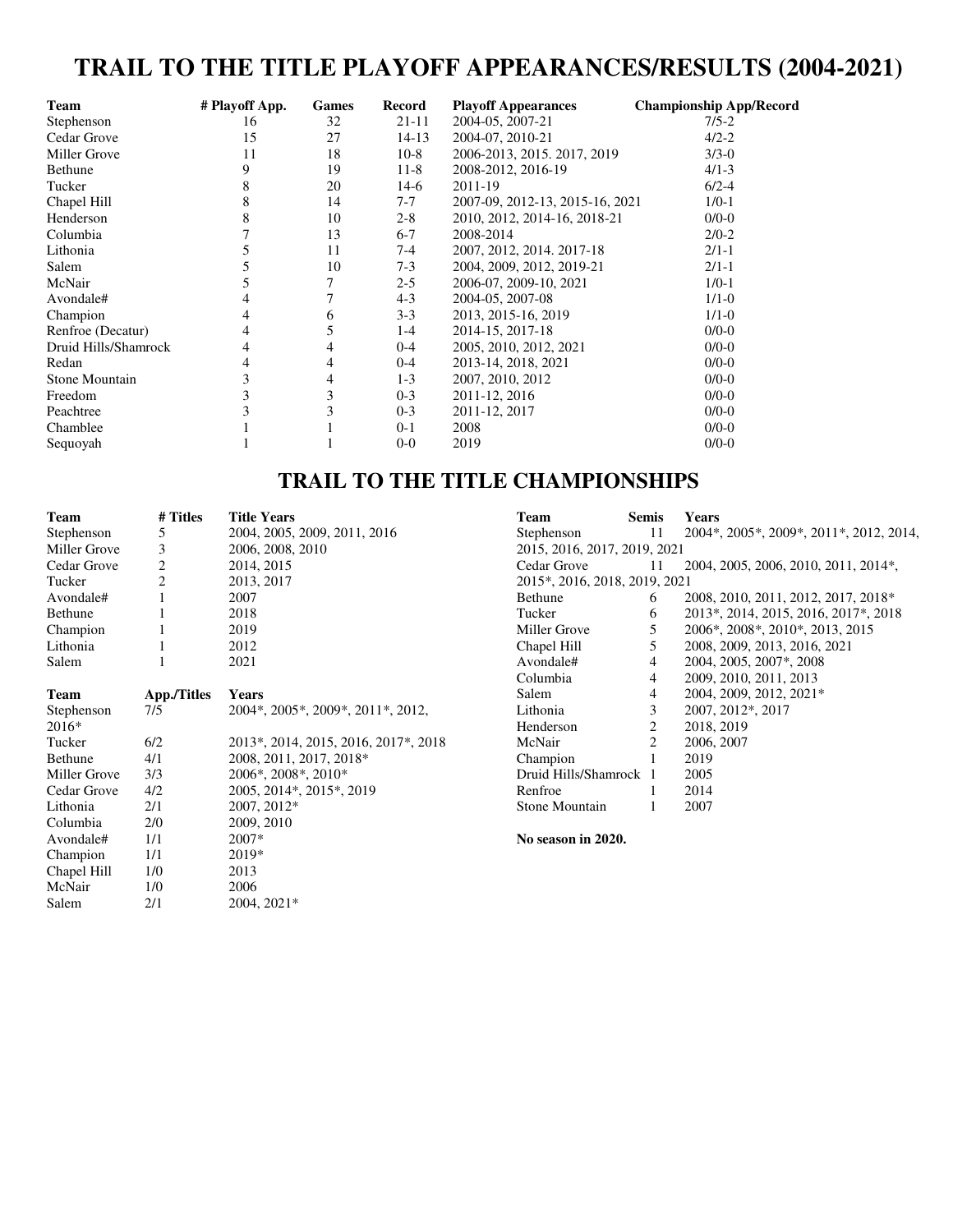# **TRAIL TO THE TITLE PLAYOFF APPEARANCES/RESULTS (2004-2021)**

| <b>Team</b>           | # Playoff App. | <b>Games</b> | Record  | <b>Playoff Appearances</b>      | <b>Championship App/Record</b> |
|-----------------------|----------------|--------------|---------|---------------------------------|--------------------------------|
| Stephenson            | 16             | 32           | 21-11   | 2004-05, 2007-21                | $7/5 - 2$                      |
| Cedar Grove           | 15             | 27           | 14-13   | 2004-07, 2010-21                | $4/2 - 2$                      |
| Miller Grove          | 11             | 18           | $10-8$  | 2006-2013, 2015, 2017, 2019     | $3/3 - 0$                      |
| Bethune               | 9              | 19           | $11-8$  | 2008-2012, 2016-19              | $4/1 - 3$                      |
| Tucker                | 8              | 20           | $14-6$  | 2011-19                         | $6/2 - 4$                      |
| Chapel Hill           | 8              | 14           | $7 - 7$ | 2007-09, 2012-13, 2015-16, 2021 | $1/0-1$                        |
| Henderson             | 8              | 10           | $2 - 8$ | 2010, 2012, 2014-16, 2018-21    | $0/0-0$                        |
| Columbia              |                | 13           | $6 - 7$ | 2008-2014                       | $2/0-2$                        |
| Lithonia              |                | 11           | 7-4     | 2007, 2012, 2014, 2017-18       | $2/1-1$                        |
| Salem                 |                | 10           | $7-3$   | 2004, 2009, 2012, 2019-21       | $2/1-1$                        |
| McNair                |                | 7            | $2 - 5$ | 2006-07, 2009-10, 2021          | $1/0-1$                        |
| Avondale#             |                |              | $4 - 3$ | 2004-05, 2007-08                | $1/1 - 0$                      |
| Champion              |                | 6            | $3 - 3$ | 2013, 2015-16, 2019             | $1/1 - 0$                      |
| Renfroe (Decatur)     | 4              |              | $1-4$   | 2014-15, 2017-18                | $0/0-0$                        |
| Druid Hills/Shamrock  | 4              | 4            | $0 - 4$ | 2005, 2010, 2012, 2021          | $0/0-0$                        |
| Redan                 |                | 4            | $0 - 4$ | 2013-14, 2018, 2021             | $0/0-0$                        |
| <b>Stone Mountain</b> | 3              | 4            | $1 - 3$ | 2007, 2010, 2012                | $0/0-0$                        |
| Freedom               | 3              | 3            | $0 - 3$ | 2011-12, 2016                   | $0/0-0$                        |
| Peachtree             |                |              | $0 - 3$ | 2011-12, 2017                   | $0/0-0$                        |
| Chamblee              |                |              | $0 - 1$ | 2008                            | $0/0-0$                        |
| Sequoyah              |                |              | $0-0$   | 2019                            | $0/0-0$                        |

# **TRAIL TO THE TITLE CHAMPIONSHIPS**

| <b>Team</b>  | # Titles           | <b>Title Years</b>                                              | <b>Team</b>                   | <b>Semis</b> | <b>Years</b>                            |
|--------------|--------------------|-----------------------------------------------------------------|-------------------------------|--------------|-----------------------------------------|
| Stephenson   | 5                  | 2004, 2005, 2009, 2011, 2016                                    | Stephenson                    | 11           | 2004*, 2005*, 2009*, 2011*, 2012, 2014, |
| Miller Grove | 3                  | 2006, 2008, 2010                                                | 2015, 2016, 2017, 2019, 2021  |              |                                         |
| Cedar Grove  | $\overline{c}$     | 2014, 2015                                                      | Cedar Grove                   | 11           | 2004, 2005, 2006, 2010, 2011, 2014*,    |
| Tucker       | $\overline{c}$     | 2013, 2017                                                      | 2015*, 2016, 2018, 2019, 2021 |              |                                         |
| Avondale#    |                    | 2007                                                            | Bethune                       | 6            | 2008, 2010, 2011, 2012, 2017, 2018*     |
| Bethune      |                    | 2018                                                            | Tucker                        | 6            | 2013*, 2014, 2015, 2016, 2017*, 2018    |
| Champion     |                    | 2019                                                            | Miller Grove                  | 5            | 2006*, 2008*, 2010*, 2013, 2015         |
| Lithonia     |                    | 2012                                                            | Chapel Hill                   | 5            | 2008, 2009, 2013, 2016, 2021            |
| Salem        |                    | 2021                                                            | Avondale#                     | 4            | 2004, 2005, 2007*, 2008                 |
|              |                    |                                                                 | Columbia                      | 4            | 2009, 2010, 2011, 2013                  |
| Team         | <b>App./Titles</b> | Years                                                           | Salem                         | 4            | 2004, 2009, 2012, 2021*                 |
| Stephenson   | 7/5                | 2004*, 2005*, 2009*, 2011*, 2012,                               | Lithonia                      | 3            | 2007, 2012*, 2017                       |
| 2016*        |                    |                                                                 | Henderson                     | 2            | 2018, 2019                              |
| Tucker       | 6/2                | 2013*, 2014, 2015, 2016, 2017*, 2018                            | McNair                        | 2            | 2006, 2007                              |
| Bethune      | 4/1                | 2008, 2011, 2017, 2018*                                         | Champion                      |              | 2019                                    |
| Miller Grove | 3/3                | $2006$ <sup>*</sup> , $2008$ <sup>*</sup> , $2010$ <sup>*</sup> | Druid Hills/Shamrock 1        |              | 2005                                    |
| Cedar Grove  | 4/2                | 2005, 2014*, 2015*, 2019                                        | Renfroe                       |              | 2014                                    |
| Lithonia     | 2/1                | 2007, 2012*                                                     | Stone Mountain                |              | 2007                                    |
| Columbia     | 2/0                | 2009, 2010                                                      |                               |              |                                         |
| Avondale#    | 1/1                | 2007*                                                           | No season in 2020.            |              |                                         |
| Champion     | 1/1                | 2019*                                                           |                               |              |                                         |
| Chapel Hill  | 1/0                | 2013                                                            |                               |              |                                         |
| McNair       | 1/0                | 2006                                                            |                               |              |                                         |
| Salem        | 2/1                | 2004, 2021*                                                     |                               |              |                                         |